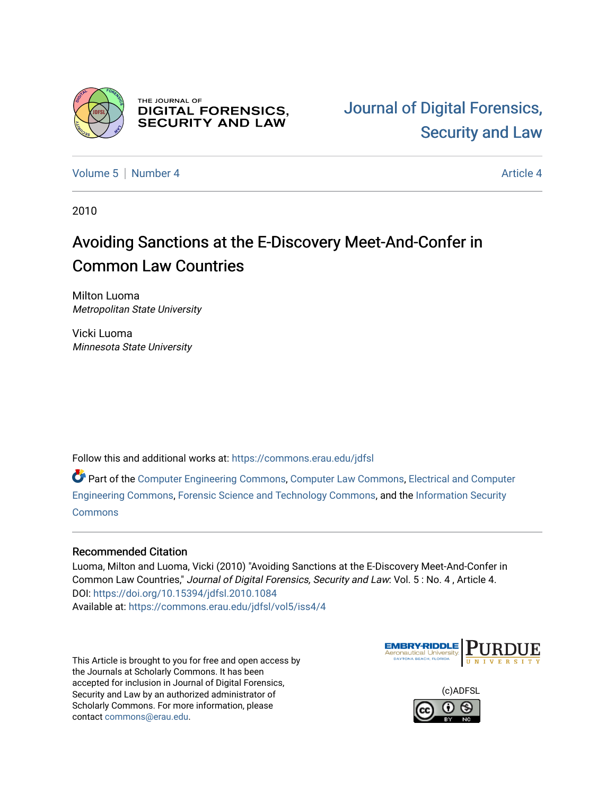

THE JOURNAL OF **DIGITAL FORENSICS, SECURITY AND LAW** 

[Volume 5](https://commons.erau.edu/jdfsl/vol5) [Number 4](https://commons.erau.edu/jdfsl/vol5/iss4) [Article 4](https://commons.erau.edu/jdfsl/vol5/iss4/4) Article 4 Article 4 Article 4 Article 4 Article 4 Article 4

2010

# Avoiding Sanctions at the E-Discovery Meet-And-Confer in Common Law Countries

Milton Luoma Metropolitan State University

Vicki Luoma Minnesota State University

Follow this and additional works at: [https://commons.erau.edu/jdfsl](https://commons.erau.edu/jdfsl?utm_source=commons.erau.edu%2Fjdfsl%2Fvol5%2Fiss4%2F4&utm_medium=PDF&utm_campaign=PDFCoverPages)

Part of the [Computer Engineering Commons,](http://network.bepress.com/hgg/discipline/258?utm_source=commons.erau.edu%2Fjdfsl%2Fvol5%2Fiss4%2F4&utm_medium=PDF&utm_campaign=PDFCoverPages) [Computer Law Commons,](http://network.bepress.com/hgg/discipline/837?utm_source=commons.erau.edu%2Fjdfsl%2Fvol5%2Fiss4%2F4&utm_medium=PDF&utm_campaign=PDFCoverPages) [Electrical and Computer](http://network.bepress.com/hgg/discipline/266?utm_source=commons.erau.edu%2Fjdfsl%2Fvol5%2Fiss4%2F4&utm_medium=PDF&utm_campaign=PDFCoverPages) [Engineering Commons,](http://network.bepress.com/hgg/discipline/266?utm_source=commons.erau.edu%2Fjdfsl%2Fvol5%2Fiss4%2F4&utm_medium=PDF&utm_campaign=PDFCoverPages) [Forensic Science and Technology Commons](http://network.bepress.com/hgg/discipline/1277?utm_source=commons.erau.edu%2Fjdfsl%2Fvol5%2Fiss4%2F4&utm_medium=PDF&utm_campaign=PDFCoverPages), and the [Information Security](http://network.bepress.com/hgg/discipline/1247?utm_source=commons.erau.edu%2Fjdfsl%2Fvol5%2Fiss4%2F4&utm_medium=PDF&utm_campaign=PDFCoverPages) **[Commons](http://network.bepress.com/hgg/discipline/1247?utm_source=commons.erau.edu%2Fjdfsl%2Fvol5%2Fiss4%2F4&utm_medium=PDF&utm_campaign=PDFCoverPages)** 

# Recommended Citation

Luoma, Milton and Luoma, Vicki (2010) "Avoiding Sanctions at the E-Discovery Meet-And-Confer in Common Law Countries," Journal of Digital Forensics, Security and Law: Vol. 5 : No. 4 , Article 4. DOI:<https://doi.org/10.15394/jdfsl.2010.1084> Available at: [https://commons.erau.edu/jdfsl/vol5/iss4/4](https://commons.erau.edu/jdfsl/vol5/iss4/4?utm_source=commons.erau.edu%2Fjdfsl%2Fvol5%2Fiss4%2F4&utm_medium=PDF&utm_campaign=PDFCoverPages) 

This Article is brought to you for free and open access by the Journals at Scholarly Commons. It has been accepted for inclusion in Journal of Digital Forensics, Security and Law by an authorized administrator of Scholarly Commons. For more information, please contact [commons@erau.edu.](mailto:commons@erau.edu)



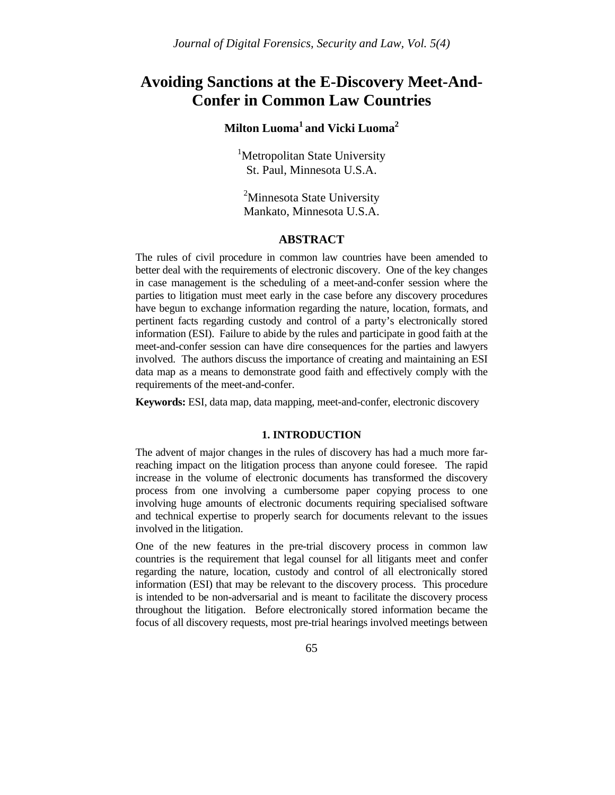# **Avoiding Sanctions at the E-Discovery Meet-And-Confer in Common Law Countries**

# **Milton Luoma<sup>1</sup> and Vicki Luoma<sup>2</sup>**

<sup>1</sup>Metropolitan State University St. Paul, Minnesota U.S.A.

<sup>2</sup>Minnesota State University Mankato, Minnesota U.S.A.

### **ABSTRACT**

The rules of civil procedure in common law countries have been amended to better deal with the requirements of electronic discovery. One of the key changes in case management is the scheduling of a meet-and-confer session where the parties to litigation must meet early in the case before any discovery procedures have begun to exchange information regarding the nature, location, formats, and pertinent facts regarding custody and control of a party's electronically stored information (ESI). Failure to abide by the rules and participate in good faith at the meet-and-confer session can have dire consequences for the parties and lawyers involved. The authors discuss the importance of creating and maintaining an ESI data map as a means to demonstrate good faith and effectively comply with the requirements of the meet-and-confer.

**Keywords:** ESI, data map, data mapping, meet-and-confer, electronic discovery

#### **1. INTRODUCTION**

The advent of major changes in the rules of discovery has had a much more farreaching impact on the litigation process than anyone could foresee. The rapid increase in the volume of electronic documents has transformed the discovery process from one involving a cumbersome paper copying process to one involving huge amounts of electronic documents requiring specialised software and technical expertise to properly search for documents relevant to the issues involved in the litigation.

One of the new features in the pre-trial discovery process in common law countries is the requirement that legal counsel for all litigants meet and confer regarding the nature, location, custody and control of all electronically stored information (ESI) that may be relevant to the discovery process. This procedure is intended to be non-adversarial and is meant to facilitate the discovery process throughout the litigation. Before electronically stored information became the focus of all discovery requests, most pre-trial hearings involved meetings between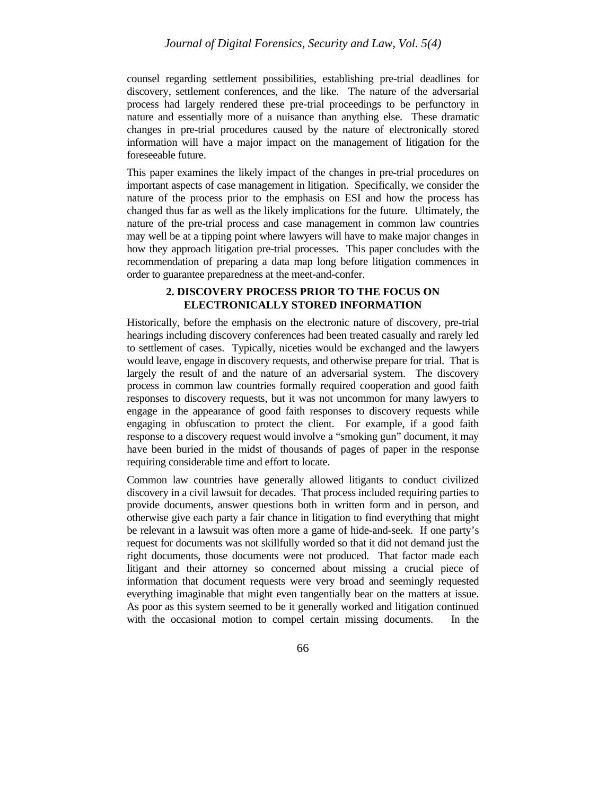counsel regarding settlement possibilities, establishing pre-trial deadlines for discovery, settlement conferences, and the like. The nature of the adversarial process had largely rendered these pre-trial proceedings to be perfunctory in nature and essentially more of a nuisance than anything else. These dramatic changes in pre-trial procedures caused by the nature of electronically stored information will have a major impact on the management of litigation for the foreseeable future.

This paper examines the likely impact of the changes in pre-trial procedures on important aspects of case management in litigation. Specifically, we consider the nature of the process prior to the emphasis on ESI and how the process has changed thus far as well as the likely implications for the future. Ultimately, the nature of the pre-trial process and case management in common law countries may well be at a tipping point where lawyers will have to make major changes in how they approach litigation pre-trial processes. This paper concludes with the recommendation of preparing a data map long before litigation commences in order to guarantee preparedness at the meet-and-confer.

### **2. DISCOVERY PROCESS PRIOR TO THE FOCUS ON ELECTRONICALLY STORED INFORMATION**

Historically, before the emphasis on the electronic nature of discovery, pre-trial hearings including discovery conferences had been treated casually and rarely led to settlement of cases. Typically, niceties would be exchanged and the lawyers would leave, engage in discovery requests, and otherwise prepare for trial. That is largely the result of and the nature of an adversarial system. The discovery process in common law countries formally required cooperation and good faith responses to discovery requests, but it was not uncommon for many lawyers to engage in the appearance of good faith responses to discovery requests while engaging in obfuscation to protect the client. For example, if a good faith response to a discovery request would involve a "smoking gun" document, it may have been buried in the midst of thousands of pages of paper in the response requiring considerable time and effort to locate.

Common law countries have generally allowed litigants to conduct civilized discovery in a civil lawsuit for decades. That process included requiring parties to provide documents, answer questions both in written form and in person, and otherwise give each party a fair chance in litigation to find everything that might be relevant in a lawsuit was often more a game of hide-and-seek. If one party's request for documents was not skillfully worded so that it did not demand just the right documents, those documents were not produced. That factor made each litigant and their attorney so concerned about missing a crucial piece of information that document requests were very broad and seemingly requested everything imaginable that might even tangentially bear on the matters at issue. As poor as this system seemed to be it generally worked and litigation continued with the occasional motion to compel certain missing documents. In the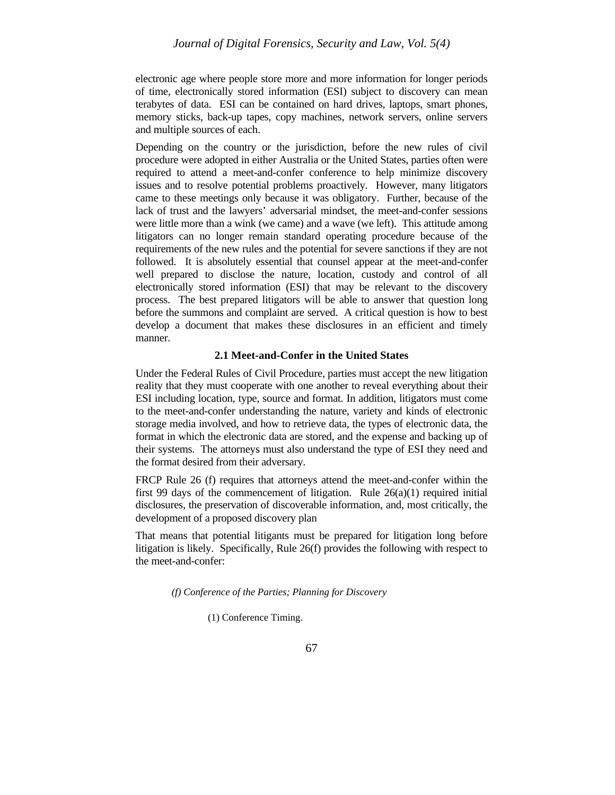electronic age where people store more and more information for longer periods of time, electronically stored information (ESI) subject to discovery can mean terabytes of data. ESI can be contained on hard drives, laptops, smart phones, memory sticks, back-up tapes, copy machines, network servers, online servers and multiple sources of each.

Depending on the country or the jurisdiction, before the new rules of civil procedure were adopted in either Australia or the United States, parties often were required to attend a meet-and-confer conference to help minimize discovery issues and to resolve potential problems proactively. However, many litigators came to these meetings only because it was obligatory. Further, because of the lack of trust and the lawyers' adversarial mindset, the meet-and-confer sessions were little more than a wink (we came) and a wave (we left). This attitude among litigators can no longer remain standard operating procedure because of the requirements of the new rules and the potential for severe sanctions if they are not followed. It is absolutely essential that counsel appear at the meet-and-confer well prepared to disclose the nature, location, custody and control of all electronically stored information (ESI) that may be relevant to the discovery process. The best prepared litigators will be able to answer that question long before the summons and complaint are served. A critical question is how to best develop a document that makes these disclosures in an efficient and timely manner.

#### **2.1 Meet-and-Confer in the United States**

Under the Federal Rules of Civil Procedure, parties must accept the new litigation reality that they must cooperate with one another to reveal everything about their ESI including location, type, source and format. In addition, litigators must come to the meet-and-confer understanding the nature, variety and kinds of electronic storage media involved, and how to retrieve data, the types of electronic data, the format in which the electronic data are stored, and the expense and backing up of their systems. The attorneys must also understand the type of ESI they need and the format desired from their adversary.

FRCP Rule 26 (f) requires that attorneys attend the meet-and-confer within the first 99 days of the commencement of litigation. Rule  $26(a)(1)$  required initial disclosures, the preservation of discoverable information, and, most critically, the development of a proposed discovery plan

That means that potential litigants must be prepared for litigation long before litigation is likely. Specifically, Rule 26(f) provides the following with respect to the meet-and-confer:

*(f) Conference of the Parties; Planning for Discovery*

(1) Conference Timing.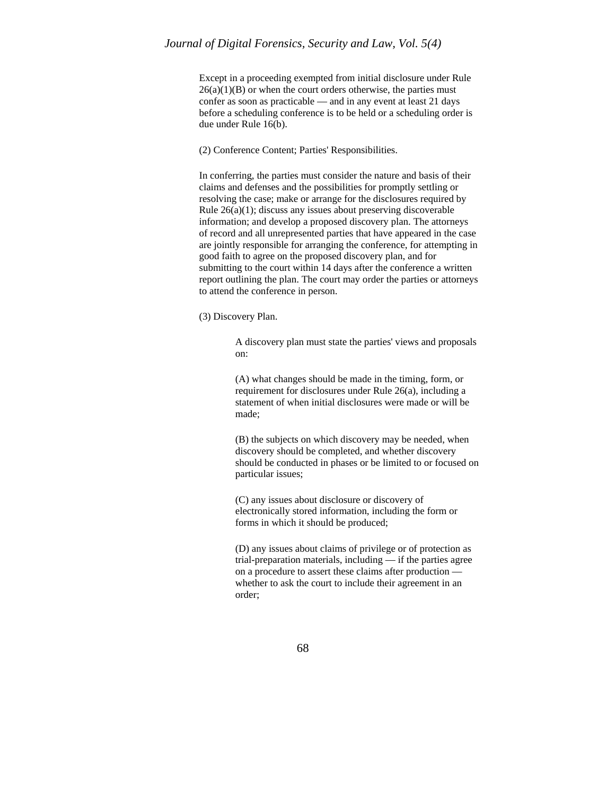Except in a proceeding exempted from initial disclosure under Rule  $26(a)(1)(B)$  or when the court orders otherwise, the parties must confer as soon as practicable — and in any event at least 21 days before a scheduling conference is to be held or a scheduling order is due under Rule 16(b).

(2) Conference Content; Parties' Responsibilities.

In conferring, the parties must consider the nature and basis of their claims and defenses and the possibilities for promptly settling or resolving the case; make or arrange for the disclosures required by Rule 26(a)(1); discuss any issues about preserving discoverable information; and develop a proposed discovery plan. The attorneys of record and all unrepresented parties that have appeared in the case are jointly responsible for arranging the conference, for attempting in good faith to agree on the proposed discovery plan, and for submitting to the court within 14 days after the conference a written report outlining the plan. The court may order the parties or attorneys to attend the conference in person.

(3) Discovery Plan.

A discovery plan must state the parties' views and proposals on:

(A) what changes should be made in the timing, form, or requirement for disclosures under Rule 26(a), including a statement of when initial disclosures were made or will be made;

(B) the subjects on which discovery may be needed, when discovery should be completed, and whether discovery should be conducted in phases or be limited to or focused on particular issues;

(C) any issues about disclosure or discovery of electronically stored information, including the form or forms in which it should be produced;

(D) any issues about claims of privilege or of protection as trial-preparation materials, including — if the parties agree on a procedure to assert these claims after production whether to ask the court to include their agreement in an order;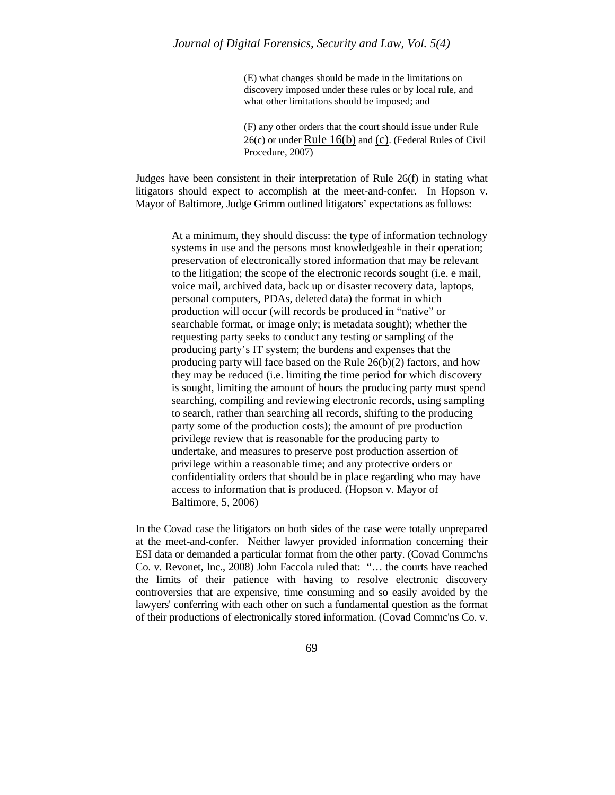(E) what changes should be made in the limitations on discovery imposed under these rules or by local rule, and what other limitations should be imposed; and

(F) any other orders that the court should issue under Rule  $26(c)$  or under Rule  $16(b)$  and (c). (Federal Rules of Civil Procedure, 2007)

Judges have been consistent in their interpretation of Rule 26(f) in stating what litigators should expect to accomplish at the meet-and-confer. In Hopson v. Mayor of Baltimore, Judge Grimm outlined litigators' expectations as follows:

> At a minimum, they should discuss: the type of information technology systems in use and the persons most knowledgeable in their operation; preservation of electronically stored information that may be relevant to the litigation; the scope of the electronic records sought (i.e. e mail, voice mail, archived data, back up or disaster recovery data, laptops, personal computers, PDAs, deleted data) the format in which production will occur (will records be produced in "native" or searchable format, or image only; is metadata sought); whether the requesting party seeks to conduct any testing or sampling of the producing party's IT system; the burdens and expenses that the producing party will face based on the Rule 26(b)(2) factors, and how they may be reduced (i.e. limiting the time period for which discovery is sought, limiting the amount of hours the producing party must spend searching, compiling and reviewing electronic records, using sampling to search, rather than searching all records, shifting to the producing party some of the production costs); the amount of pre production privilege review that is reasonable for the producing party to undertake, and measures to preserve post production assertion of privilege within a reasonable time; and any protective orders or confidentiality orders that should be in place regarding who may have access to information that is produced. (Hopson v. Mayor of Baltimore, 5, 2006)

In the Covad case the litigators on both sides of the case were totally unprepared at the meet-and-confer. Neither lawyer provided information concerning their ESI data or demanded a particular format from the other party. (Covad Commc'ns Co. v. Revonet, Inc., 2008) John Faccola ruled that: "… the courts have reached the limits of their patience with having to resolve electronic discovery controversies that are expensive, time consuming and so easily avoided by the lawyers' conferring with each other on such a fundamental question as the format of their productions of electronically stored information. (Covad Commc'ns Co. v.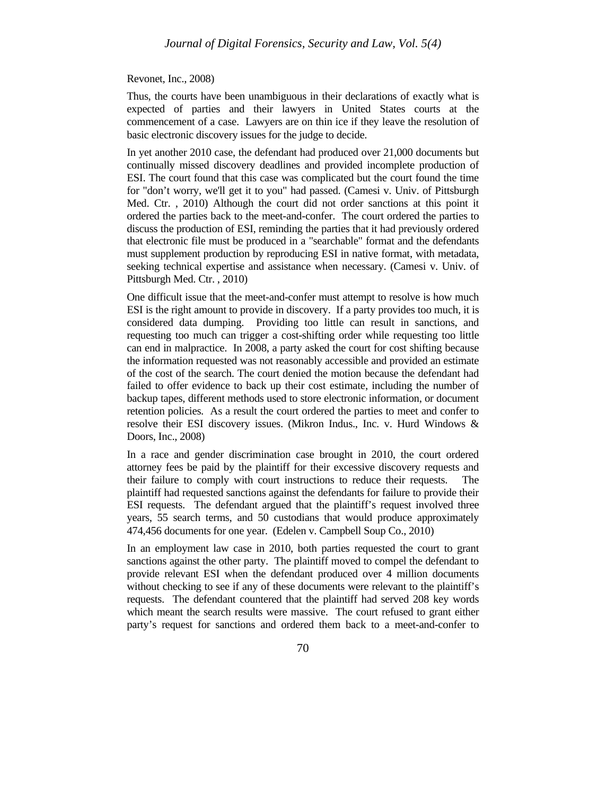Revonet, Inc., 2008)

Thus, the courts have been unambiguous in their declarations of exactly what is expected of parties and their lawyers in United States courts at the commencement of a case. Lawyers are on thin ice if they leave the resolution of basic electronic discovery issues for the judge to decide.

In yet another 2010 case, the defendant had produced over 21,000 documents but continually missed discovery deadlines and provided incomplete production of ESI. The court found that this case was complicated but the court found the time for "don't worry, we'll get it to you" had passed. (Camesi v. Univ. of Pittsburgh Med. Ctr. , 2010) Although the court did not order sanctions at this point it ordered the parties back to the meet-and-confer. The court ordered the parties to discuss the production of ESI, reminding the parties that it had previously ordered that electronic file must be produced in a "searchable" format and the defendants must supplement production by reproducing ESI in native format, with metadata, seeking technical expertise and assistance when necessary. (Camesi v. Univ. of Pittsburgh Med. Ctr., 2010)

One difficult issue that the meet-and-confer must attempt to resolve is how much ESI is the right amount to provide in discovery. If a party provides too much, it is considered data dumping. Providing too little can result in sanctions, and requesting too much can trigger a cost-shifting order while requesting too little can end in malpractice. In 2008, a party asked the court for cost shifting because the information requested was not reasonably accessible and provided an estimate of the cost of the search. The court denied the motion because the defendant had failed to offer evidence to back up their cost estimate, including the number of backup tapes, different methods used to store electronic information, or document retention policies. As a result the court ordered the parties to meet and confer to resolve their ESI discovery issues. (Mikron Indus., Inc. v. Hurd Windows & Doors, Inc., 2008)

In a race and gender discrimination case brought in 2010, the court ordered attorney fees be paid by the plaintiff for their excessive discovery requests and their failure to comply with court instructions to reduce their requests. The plaintiff had requested sanctions against the defendants for failure to provide their ESI requests. The defendant argued that the plaintiff's request involved three years, 55 search terms, and 50 custodians that would produce approximately 474,456 documents for one year. (Edelen v. Campbell Soup Co., 2010)

In an employment law case in 2010, both parties requested the court to grant sanctions against the other party. The plaintiff moved to compel the defendant to provide relevant ESI when the defendant produced over 4 million documents without checking to see if any of these documents were relevant to the plaintiff's requests. The defendant countered that the plaintiff had served 208 key words which meant the search results were massive. The court refused to grant either party's request for sanctions and ordered them back to a meet-and-confer to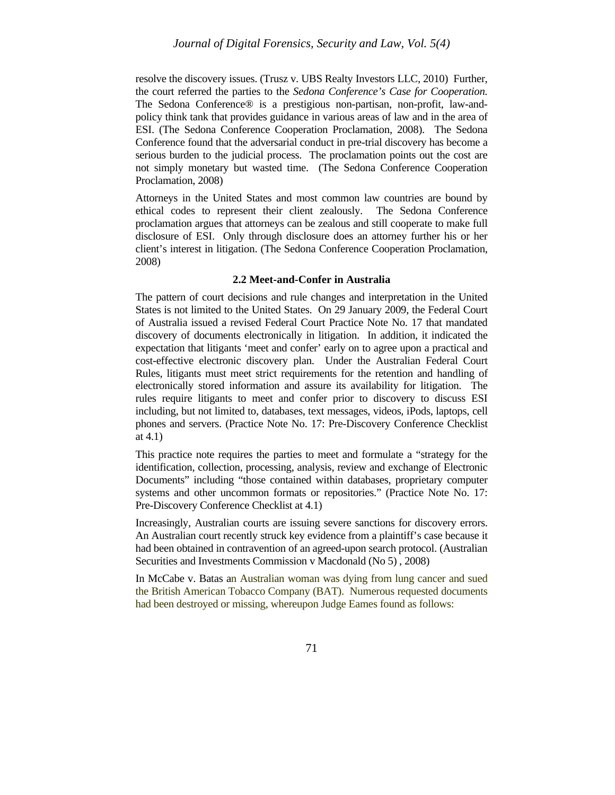resolve the discovery issues. (Trusz v. UBS Realty Investors LLC, 2010) Further, the court referred the parties to the *Sedona Conference's Case for Cooperation.*  The Sedona Conference® is a prestigious non-partisan, non-profit, law-andpolicy think tank that provides guidance in various areas of law and in the area of ESI. (The Sedona Conference Cooperation Proclamation, 2008). The Sedona Conference found that the adversarial conduct in pre-trial discovery has become a serious burden to the judicial process. The proclamation points out the cost are not simply monetary but wasted time. (The Sedona Conference Cooperation Proclamation, 2008)

Attorneys in the United States and most common law countries are bound by ethical codes to represent their client zealously. The Sedona Conference proclamation argues that attorneys can be zealous and still cooperate to make full disclosure of ESI. Only through disclosure does an attorney further his or her client's interest in litigation. (The Sedona Conference Cooperation Proclamation, 2008)

#### **2.2 Meet-and-Confer in Australia**

The pattern of court decisions and rule changes and interpretation in the United States is not limited to the United States. On 29 January 2009, the Federal Court of Australia issued a revised Federal Court Practice Note No. 17 that mandated discovery of documents electronically in litigation. In addition, it indicated the expectation that litigants 'meet and confer' early on to agree upon a practical and cost-effective electronic discovery plan. Under the Australian Federal Court Rules, litigants must meet strict requirements for the retention and handling of electronically stored information and assure its availability for litigation. The rules require litigants to meet and confer prior to discovery to discuss ESI including, but not limited to, databases, text messages, videos, iPods, laptops, cell phones and servers. (Practice Note No. 17: Pre-Discovery Conference Checklist at 4.1)

This practice note requires the parties to meet and formulate a "strategy for the identification, collection, processing, analysis, review and exchange of Electronic Documents" including "those contained within databases, proprietary computer systems and other uncommon formats or repositories." (Practice Note No. 17: Pre-Discovery Conference Checklist at 4.1)

Increasingly, Australian courts are issuing severe sanctions for discovery errors. An Australian court recently struck key evidence from a plaintiff's case because it had been obtained in contravention of an agreed-upon search protocol. (Australian Securities and Investments Commission v Macdonald (No 5) , 2008)

In McCabe v. Batas an Australian woman was dying from lung cancer and sued the British American Tobacco Company (BAT). Numerous requested documents had been destroyed or missing, whereupon Judge Eames found as follows: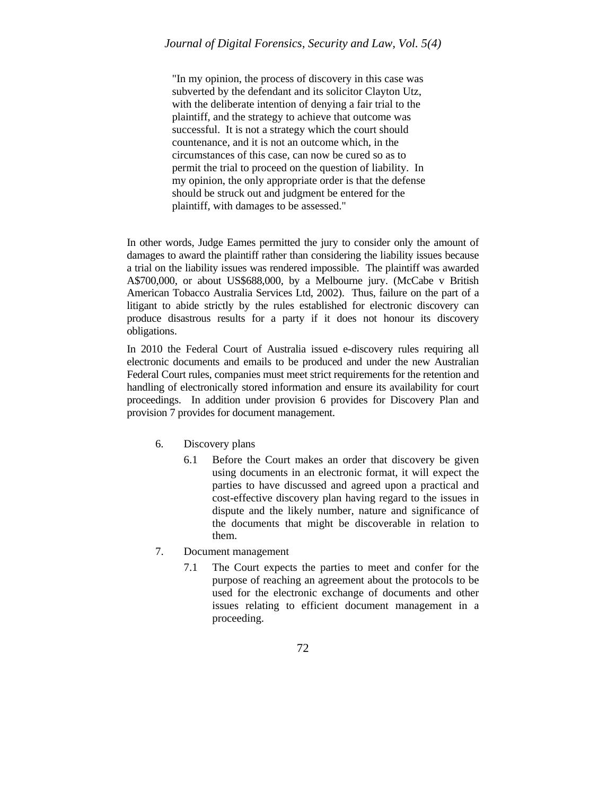"In my opinion, the process of discovery in this case was subverted by the defendant and its solicitor Clayton Utz, with the deliberate intention of denying a fair trial to the plaintiff, and the strategy to achieve that outcome was successful. It is not a strategy which the court should countenance, and it is not an outcome which, in the circumstances of this case, can now be cured so as to permit the trial to proceed on the question of liability. In my opinion, the only appropriate order is that the defense should be struck out and judgment be entered for the plaintiff, with damages to be assessed."

In other words, Judge Eames permitted the jury to consider only the amount of damages to award the plaintiff rather than considering the liability issues because a trial on the liability issues was rendered impossible. The plaintiff was awarded A\$700,000, or about US\$688,000, by a Melbourne jury. (McCabe v British American Tobacco Australia Services Ltd, 2002). Thus, failure on the part of a litigant to abide strictly by the rules established for electronic discovery can produce disastrous results for a party if it does not honour its discovery obligations.

In 2010 the Federal Court of Australia issued e-discovery rules requiring all electronic documents and emails to be produced and under the new Australian Federal Court rules, companies must meet strict requirements for the retention and handling of electronically stored information and ensure its availability for court proceedings. In addition under provision 6 provides for Discovery Plan and provision 7 provides for document management.

- 6. Discovery plans
	- 6.1 Before the Court makes an order that discovery be given using documents in an electronic format, it will expect the parties to have discussed and agreed upon a practical and cost-effective discovery plan having regard to the issues in dispute and the likely number, nature and significance of the documents that might be discoverable in relation to them.
- 7. Document management
	- 7.1 The Court expects the parties to meet and confer for the purpose of reaching an agreement about the protocols to be used for the electronic exchange of documents and other issues relating to efficient document management in a proceeding.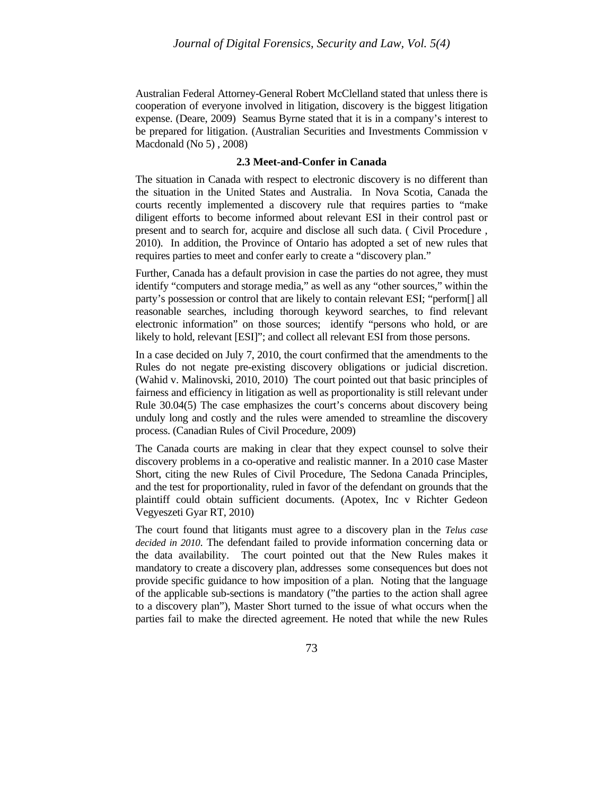Australian Federal Attorney-General Robert McClelland stated that unless there is cooperation of everyone involved in litigation, discovery is the biggest litigation expense. (Deare, 2009) Seamus Byrne stated that it is in a company's interest to be prepared for litigation. (Australian Securities and Investments Commission v Macdonald (No 5) , 2008)

#### **2.3 Meet-and-Confer in Canada**

The situation in Canada with respect to electronic discovery is no different than the situation in the United States and Australia. In Nova Scotia, Canada the courts recently implemented a discovery rule that requires parties to "make diligent efforts to become informed about relevant ESI in their control past or present and to search for, acquire and disclose all such data. ( Civil Procedure , 2010). In addition, the Province of Ontario has adopted a set of new rules that requires parties to meet and confer early to create a "discovery plan."

Further, Canada has a default provision in case the parties do not agree, they must identify "computers and storage media," as well as any "other sources," within the party's possession or control that are likely to contain relevant ESI; "perform[] all reasonable searches, including thorough keyword searches, to find relevant electronic information" on those sources; identify "persons who hold, or are likely to hold, relevant [ESI]"; and collect all relevant ESI from those persons.

In a case decided on July 7, 2010, the court confirmed that the amendments to the Rules do not negate pre-existing discovery obligations or judicial discretion. (Wahid v. Malinovski, 2010, 2010) The court pointed out that basic principles of fairness and efficiency in litigation as well as proportionality is still relevant under Rule 30.04(5) The case emphasizes the court's concerns about discovery being unduly long and costly and the rules were amended to streamline the discovery process. (Canadian Rules of Civil Procedure, 2009)

The Canada courts are making in clear that they expect counsel to solve their discovery problems in a co-operative and realistic manner. In a 2010 case Master Short, citing the new Rules of Civil Procedure, The Sedona Canada Principles, and the test for proportionality, ruled in favor of the defendant on grounds that the plaintiff could obtain sufficient documents. (Apotex, Inc v Richter Gedeon Vegyeszeti Gyar RT, 2010)

The court found that litigants must agree to a discovery plan in the *Telus case decided in 2010*. The defendant failed to provide information concerning data or the data availability. The court pointed out that the New Rules makes it mandatory to create a discovery plan, addresses some consequences but does not provide specific guidance to how imposition of a plan. Noting that the language of the applicable sub-sections is mandatory ("the parties to the action shall agree to a discovery plan"), Master Short turned to the issue of what occurs when the parties fail to make the directed agreement. He noted that while the new Rules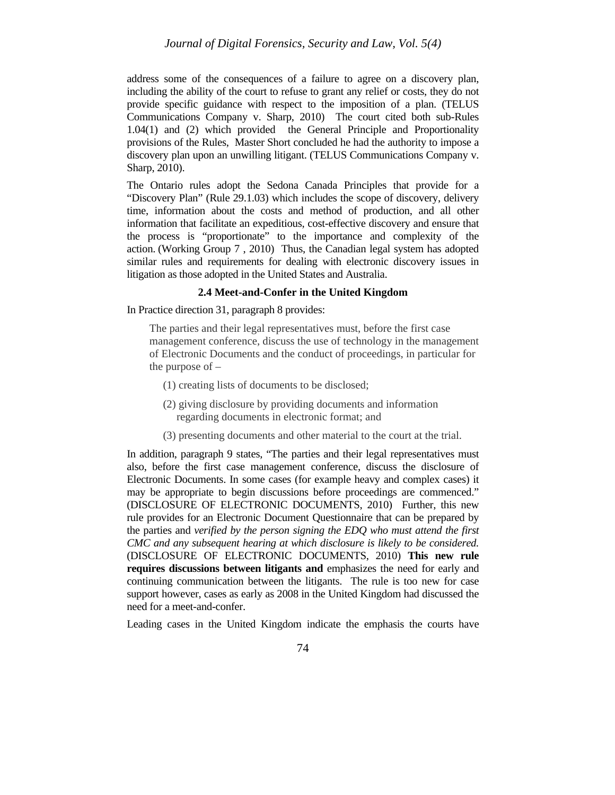address some of the consequences of a failure to agree on a discovery plan, including the ability of the court to refuse to grant any relief or costs, they do not provide specific guidance with respect to the imposition of a plan. (TELUS Communications Company v. Sharp, 2010) The court cited both sub-Rules 1.04(1) and (2) which provided the General Principle and Proportionality provisions of the Rules, Master Short concluded he had the authority to impose a discovery plan upon an unwilling litigant. (TELUS Communications Company v. Sharp, 2010).

The Ontario rules adopt the Sedona Canada Principles that provide for a "Discovery Plan" (Rule 29.1.03) which includes the scope of discovery, delivery time, information about the costs and method of production, and all other information that facilitate an expeditious, cost-effective discovery and ensure that the process is "proportionate" to the importance and complexity of the action. (Working Group 7 , 2010) Thus, the Canadian legal system has adopted similar rules and requirements for dealing with electronic discovery issues in litigation as those adopted in the United States and Australia.

### **2.4 Meet-and-Confer in the United Kingdom**

In Practice direction 31, paragraph 8 provides:

The parties and their legal representatives must, before the first case management conference, discuss the use of technology in the management of Electronic Documents and the conduct of proceedings, in particular for the purpose of –

- (1) creating lists of documents to be disclosed;
- (2) giving disclosure by providing documents and information regarding documents in electronic format; and
- (3) presenting documents and other material to the court at the trial.

In addition, paragraph 9 states, "The parties and their legal representatives must also, before the first case management conference, discuss the disclosure of Electronic Documents. In some cases (for example heavy and complex cases) it may be appropriate to begin discussions before proceedings are commenced." (DISCLOSURE OF ELECTRONIC DOCUMENTS, 2010) Further, this new rule provides for an Electronic Document Questionnaire that can be prepared by the parties and *verified by the person signing the EDQ who must attend the first CMC and any subsequent hearing at which disclosure is likely to be considered.*  (DISCLOSURE OF ELECTRONIC DOCUMENTS, 2010) **This new rule requires discussions between litigants and** emphasizes the need for early and continuing communication between the litigants. The rule is too new for case support however, cases as early as 2008 in the United Kingdom had discussed the need for a meet-and-confer.

Leading cases in the United Kingdom indicate the emphasis the courts have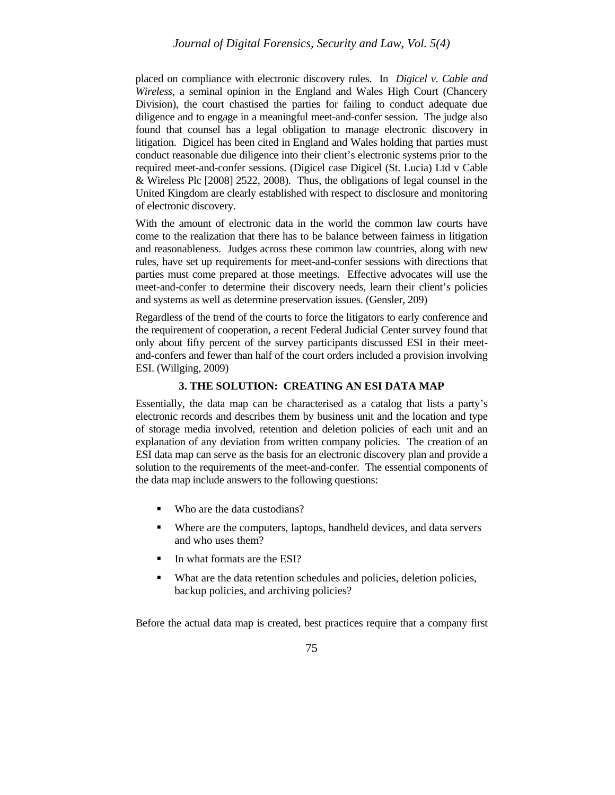placed on compliance with electronic discovery rules. In *Digicel v. Cable and Wireless*, a seminal opinion in the England and Wales High Court (Chancery Division), the court chastised the parties for failing to conduct adequate due diligence and to engage in a meaningful meet-and-confer session. The judge also found that counsel has a legal obligation to manage electronic discovery in litigation. Digicel has been cited in England and Wales holding that parties must conduct reasonable due diligence into their client's electronic systems prior to the required meet-and-confer sessions. (Digicel case Digicel (St. Lucia) Ltd v Cable & Wireless Plc [2008] 2522, 2008). Thus, the obligations of legal counsel in the United Kingdom are clearly established with respect to disclosure and monitoring of electronic discovery.

With the amount of electronic data in the world the common law courts have come to the realization that there has to be balance between fairness in litigation and reasonableness. Judges across these common law countries, along with new rules, have set up requirements for meet-and-confer sessions with directions that parties must come prepared at those meetings. Effective advocates will use the meet-and-confer to determine their discovery needs, learn their client's policies and systems as well as determine preservation issues. (Gensler, 209)

Regardless of the trend of the courts to force the litigators to early conference and the requirement of cooperation, a recent Federal Judicial Center survey found that only about fifty percent of the survey participants discussed ESI in their meetand-confers and fewer than half of the court orders included a provision involving ESI. (Willging, 2009)

## **3. THE SOLUTION: CREATING AN ESI DATA MAP**

Essentially, the data map can be characterised as a catalog that lists a party's electronic records and describes them by business unit and the location and type of storage media involved, retention and deletion policies of each unit and an explanation of any deviation from written company policies. The creation of an ESI data map can serve as the basis for an electronic discovery plan and provide a solution to the requirements of the meet-and-confer. The essential components of the data map include answers to the following questions:

- Who are the data custodians?
- Where are the computers, laptops, handheld devices, and data servers and who uses them?
- In what formats are the ESI?
- What are the data retention schedules and policies, deletion policies, backup policies, and archiving policies?

Before the actual data map is created, best practices require that a company first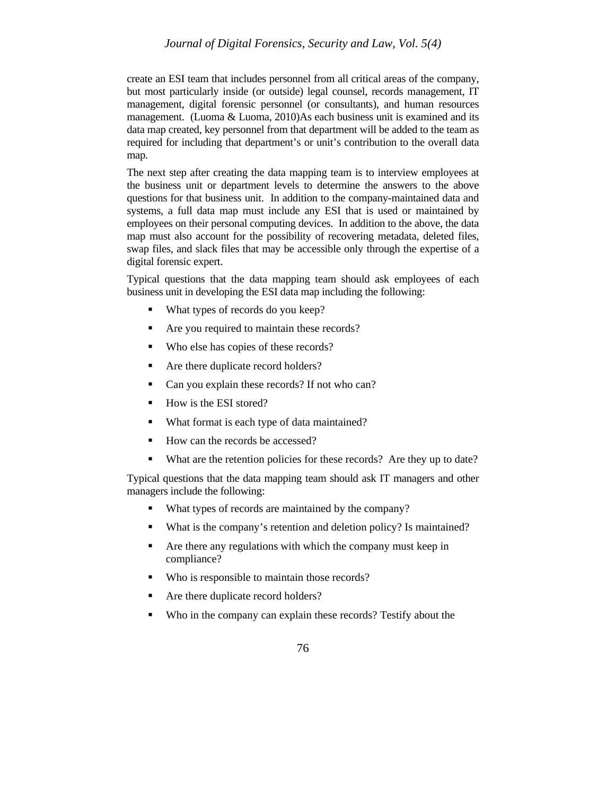# *Journal of Digital Forensics, Security and Law, Vol. 5(4)*

create an ESI team that includes personnel from all critical areas of the company, but most particularly inside (or outside) legal counsel, records management, IT management, digital forensic personnel (or consultants), and human resources management. (Luoma & Luoma, 2010)As each business unit is examined and its data map created, key personnel from that department will be added to the team as required for including that department's or unit's contribution to the overall data map.

The next step after creating the data mapping team is to interview employees at the business unit or department levels to determine the answers to the above questions for that business unit. In addition to the company-maintained data and systems, a full data map must include any ESI that is used or maintained by employees on their personal computing devices. In addition to the above, the data map must also account for the possibility of recovering metadata, deleted files, swap files, and slack files that may be accessible only through the expertise of a digital forensic expert.

Typical questions that the data mapping team should ask employees of each business unit in developing the ESI data map including the following:

- What types of records do you keep?
- Are you required to maintain these records?
- Who else has copies of these records?
- Are there duplicate record holders?
- Can you explain these records? If not who can?
- How is the ESI stored?
- What format is each type of data maintained?
- How can the records be accessed?
- What are the retention policies for these records? Are they up to date?

Typical questions that the data mapping team should ask IT managers and other managers include the following:

- What types of records are maintained by the company?
- What is the company's retention and deletion policy? Is maintained?
- Are there any regulations with which the company must keep in compliance?
- Who is responsible to maintain those records?
- Are there duplicate record holders?
- Who in the company can explain these records? Testify about the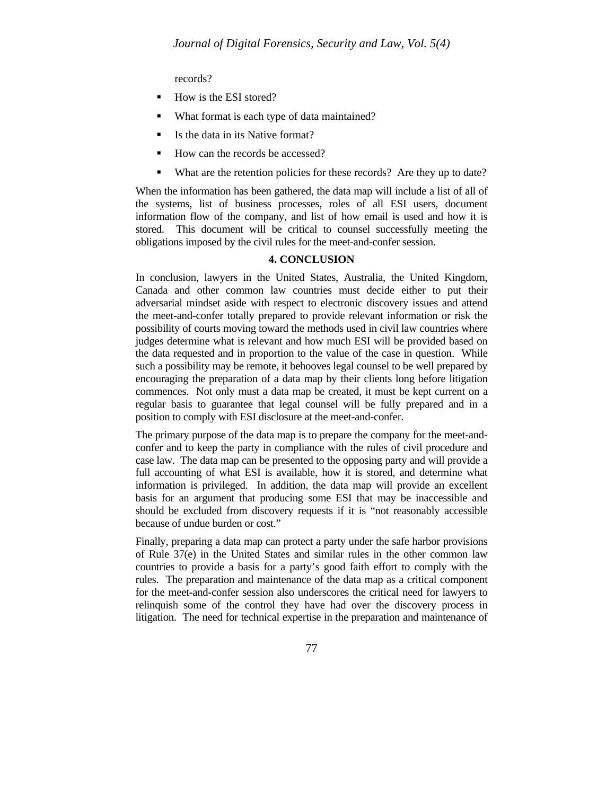records?

- How is the ESI stored?
- What format is each type of data maintained?
- $\blacksquare$  Is the data in its Native format?
- How can the records be accessed?
- What are the retention policies for these records? Are they up to date?

When the information has been gathered, the data map will include a list of all of the systems, list of business processes, roles of all ESI users, document information flow of the company, and list of how email is used and how it is stored. This document will be critical to counsel successfully meeting the obligations imposed by the civil rules for the meet-and-confer session.

#### **4. CONCLUSION**

In conclusion, lawyers in the United States, Australia, the United Kingdom, Canada and other common law countries must decide either to put their adversarial mindset aside with respect to electronic discovery issues and attend the meet-and-confer totally prepared to provide relevant information or risk the possibility of courts moving toward the methods used in civil law countries where judges determine what is relevant and how much ESI will be provided based on the data requested and in proportion to the value of the case in question. While such a possibility may be remote, it behooves legal counsel to be well prepared by encouraging the preparation of a data map by their clients long before litigation commences. Not only must a data map be created, it must be kept current on a regular basis to guarantee that legal counsel will be fully prepared and in a position to comply with ESI disclosure at the meet-and-confer.

The primary purpose of the data map is to prepare the company for the meet-andconfer and to keep the party in compliance with the rules of civil procedure and case law. The data map can be presented to the opposing party and will provide a full accounting of what ESI is available, how it is stored, and determine what information is privileged. In addition, the data map will provide an excellent basis for an argument that producing some ESI that may be inaccessible and should be excluded from discovery requests if it is "not reasonably accessible because of undue burden or cost."

Finally, preparing a data map can protect a party under the safe harbor provisions of Rule 37(e) in the United States and similar rules in the other common law countries to provide a basis for a party's good faith effort to comply with the rules. The preparation and maintenance of the data map as a critical component for the meet-and-confer session also underscores the critical need for lawyers to relinquish some of the control they have had over the discovery process in litigation. The need for technical expertise in the preparation and maintenance of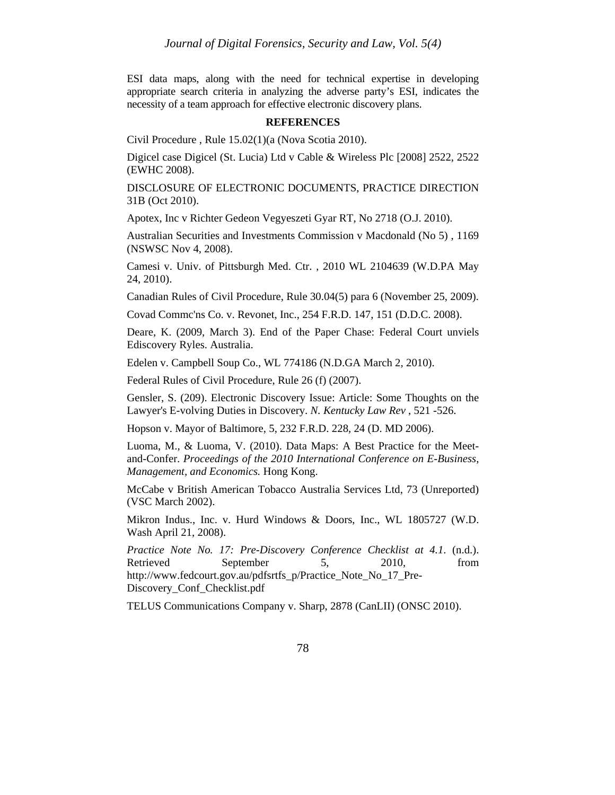ESI data maps, along with the need for technical expertise in developing appropriate search criteria in analyzing the adverse party's ESI, indicates the necessity of a team approach for effective electronic discovery plans.

#### **REFERENCES**

Civil Procedure , Rule 15.02(1)(a (Nova Scotia 2010).

Digicel case Digicel (St. Lucia) Ltd v Cable & Wireless Plc [2008] 2522, 2522 (EWHC 2008).

DISCLOSURE OF ELECTRONIC DOCUMENTS, PRACTICE DIRECTION 31B (Oct 2010).

Apotex, Inc v Richter Gedeon Vegyeszeti Gyar RT, No 2718 (O.J. 2010).

Australian Securities and Investments Commission v Macdonald (No 5) , 1169 (NSWSC Nov 4, 2008).

Camesi v. Univ. of Pittsburgh Med. Ctr. , 2010 WL 2104639 (W.D.PA May 24, 2010).

Canadian Rules of Civil Procedure, Rule 30.04(5) para 6 (November 25, 2009).

Covad Commc'ns Co. v. Revonet, Inc., 254 F.R.D. 147, 151 (D.D.C. 2008).

Deare, K. (2009, March 3). End of the Paper Chase: Federal Court unviels Ediscovery Ryles. Australia.

Edelen v. Campbell Soup Co., WL 774186 (N.D.GA March 2, 2010).

Federal Rules of Civil Procedure, Rule 26 (f) (2007).

Gensler, S. (209). Electronic Discovery Issue: Article: Some Thoughts on the Lawyer's E-volving Duties in Discovery. *N. Kentucky Law Rev* , 521 -526.

Hopson v. Mayor of Baltimore, 5, 232 F.R.D. 228, 24 (D. MD 2006).

Luoma, M., & Luoma, V. (2010). Data Maps: A Best Practice for the Meetand-Confer. *Proceedings of the 2010 International Conference on E-Business, Management, and Economics.* Hong Kong.

McCabe v British American Tobacco Australia Services Ltd, 73 (Unreported) (VSC March 2002).

Mikron Indus., Inc. v. Hurd Windows & Doors, Inc., WL 1805727 (W.D. Wash April 21, 2008).

*Practice Note No. 17: Pre-Discovery Conference Checklist at 4.1*. (n.d.). Retrieved September 5, 2010, from http://www.fedcourt.gov.au/pdfsrtfs\_p/Practice\_Note\_No\_17\_Pre-Discovery\_Conf\_Checklist.pdf

TELUS Communications Company v. Sharp, 2878 (CanLII) (ONSC 2010).